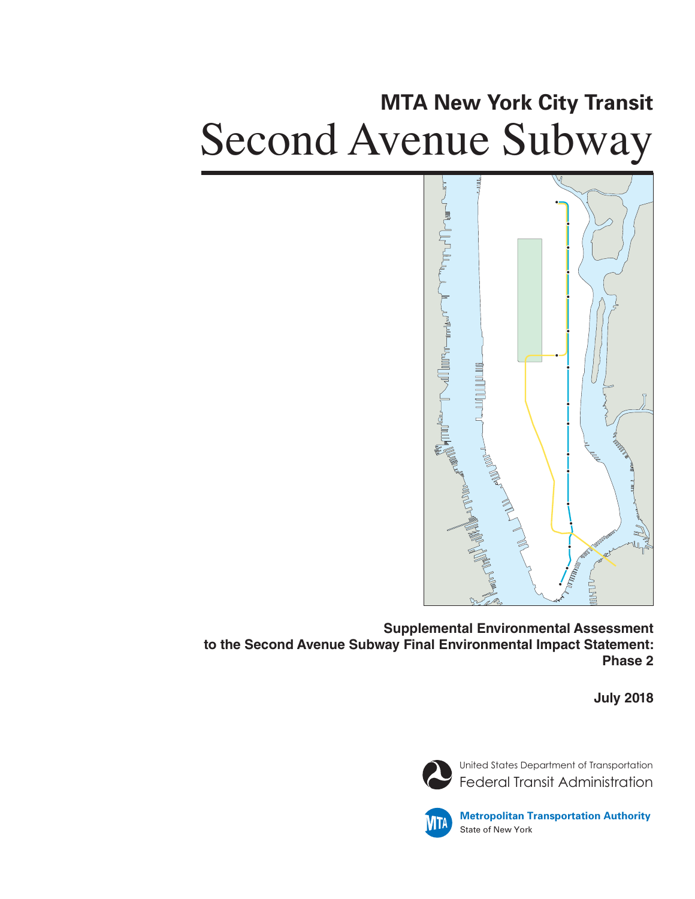# **MTA New York City Transit** Second Avenue Subway



**Supplemental Environmental Assessment to the Second Avenue Subway Final Environmental Impact Statement: Phase 2**

**July 2018**



United States Department of Transportation Federal Transit Administration



**Metropolitan Transportation Authority** State of New York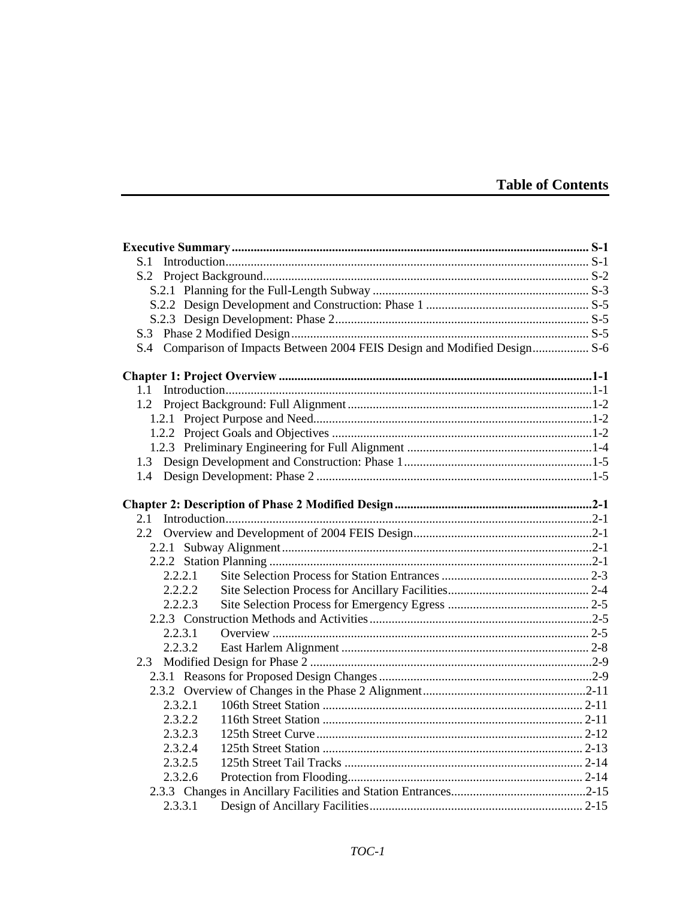### **Table of Contents**

| 1.1     |  |
|---------|--|
|         |  |
|         |  |
|         |  |
|         |  |
|         |  |
|         |  |
|         |  |
|         |  |
| 2.1     |  |
|         |  |
|         |  |
|         |  |
| 2.2.2.1 |  |
| 2.2.2.2 |  |
| 2.2.2.3 |  |
|         |  |
| 2.2.3.1 |  |
| 2.2.3.2 |  |
|         |  |
|         |  |
|         |  |
| 2.3.2.1 |  |
| 2.3.2.2 |  |
| 2.3.2.3 |  |
| 2.3.2.4 |  |
| 2.3.2.5 |  |
| 2.3.2.6 |  |
|         |  |
| 2.3.3.1 |  |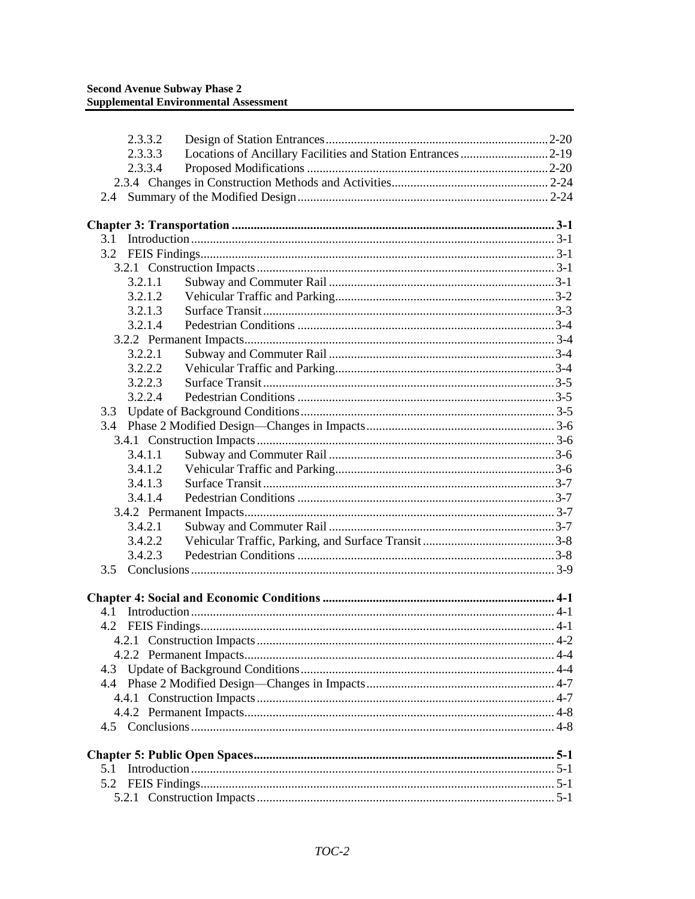| 2.3.3.2 |                                                              |  |
|---------|--------------------------------------------------------------|--|
| 2.3.3.3 | Locations of Ancillary Facilities and Station Entrances 2-19 |  |
| 2.3.3.4 |                                                              |  |
|         |                                                              |  |
| 2.4     |                                                              |  |
|         |                                                              |  |
| 3.1     |                                                              |  |
|         |                                                              |  |
|         |                                                              |  |
| 3.2.1.1 |                                                              |  |
| 3.2.1.2 |                                                              |  |
| 3.2.1.3 |                                                              |  |
| 3.2.1.4 |                                                              |  |
|         |                                                              |  |
| 3.2.2.1 |                                                              |  |
| 3.2.2.2 |                                                              |  |
| 3.2.2.3 |                                                              |  |
| 3.2.2.4 |                                                              |  |
| 3.3     |                                                              |  |
|         |                                                              |  |
|         |                                                              |  |
| 3.4.1.1 |                                                              |  |
| 3.4.1.2 |                                                              |  |
| 3.4.1.3 |                                                              |  |
| 3.4.1.4 |                                                              |  |
|         |                                                              |  |
| 3.4.2.1 |                                                              |  |
| 3.4.2.2 |                                                              |  |
| 3.4.2.3 |                                                              |  |
| 3.5     |                                                              |  |
|         |                                                              |  |
|         |                                                              |  |
|         |                                                              |  |
|         |                                                              |  |
|         |                                                              |  |
|         |                                                              |  |
|         |                                                              |  |
|         |                                                              |  |
|         |                                                              |  |
|         |                                                              |  |
|         |                                                              |  |
|         |                                                              |  |
| 5.1     |                                                              |  |
| 5.2     |                                                              |  |
|         |                                                              |  |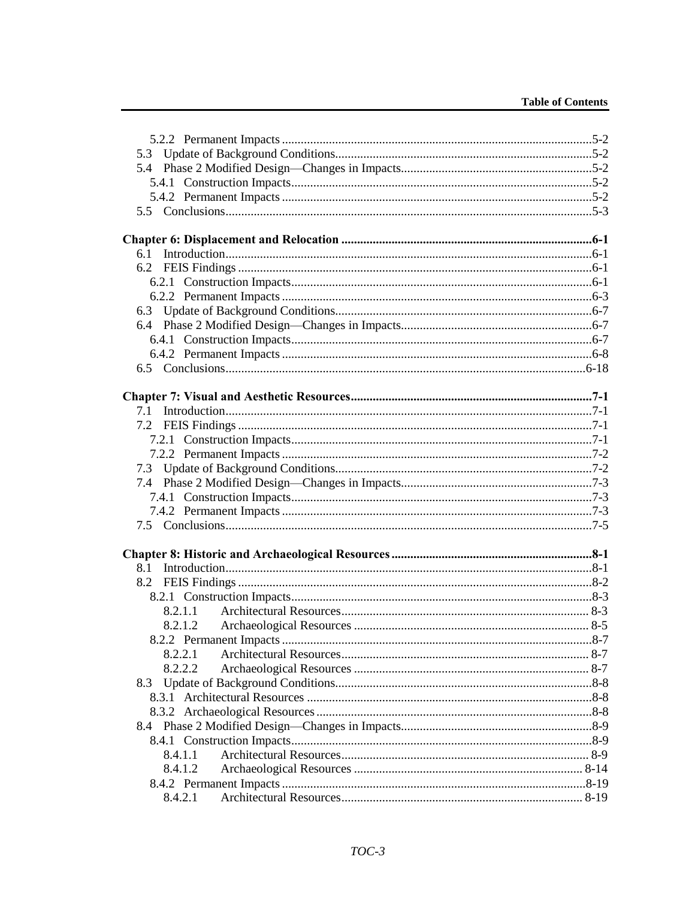| 6.1     |  |
|---------|--|
|         |  |
|         |  |
|         |  |
|         |  |
|         |  |
|         |  |
|         |  |
|         |  |
|         |  |
|         |  |
|         |  |
|         |  |
|         |  |
|         |  |
|         |  |
|         |  |
|         |  |
|         |  |
|         |  |
|         |  |
|         |  |
|         |  |
|         |  |
|         |  |
|         |  |
|         |  |
| 8.2.2.1 |  |
|         |  |
| 8.2.2.2 |  |
| 8.3     |  |
|         |  |
|         |  |
|         |  |
|         |  |
| 8.4.1.1 |  |
| 8.4.1.2 |  |
|         |  |
| 8.4.2.1 |  |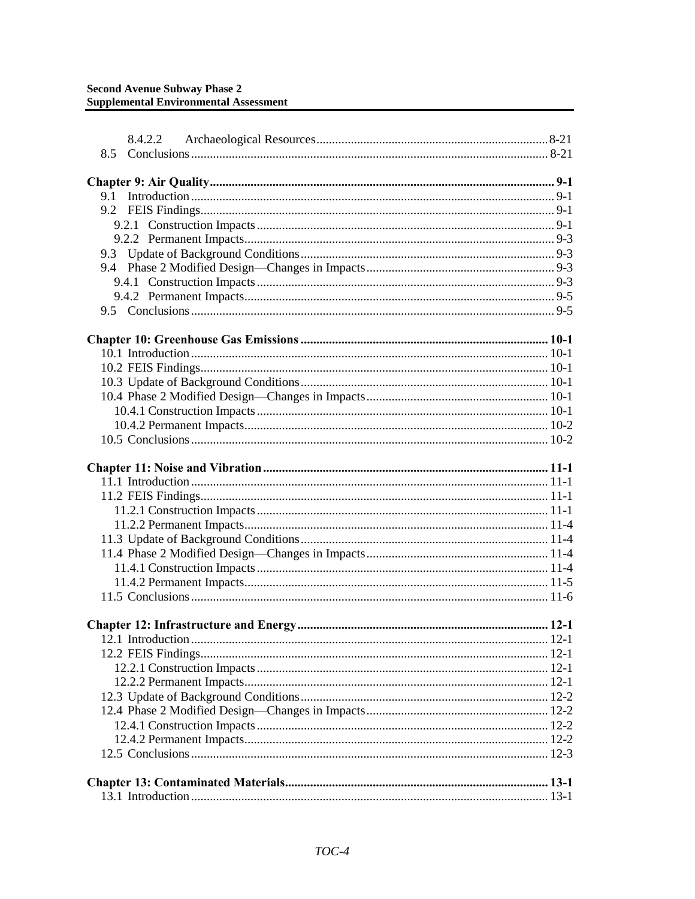| 8.4.2.2 |  |
|---------|--|
| 8.5     |  |
|         |  |
|         |  |
| 9.1     |  |
|         |  |
|         |  |
|         |  |
|         |  |
|         |  |
|         |  |
|         |  |
|         |  |
|         |  |
|         |  |
|         |  |
|         |  |
|         |  |
|         |  |
|         |  |
|         |  |
|         |  |
|         |  |
|         |  |
|         |  |
|         |  |
|         |  |
|         |  |
|         |  |
|         |  |
|         |  |
|         |  |
|         |  |
|         |  |
|         |  |
|         |  |
|         |  |
|         |  |
|         |  |
|         |  |
|         |  |
|         |  |
|         |  |
|         |  |
|         |  |
|         |  |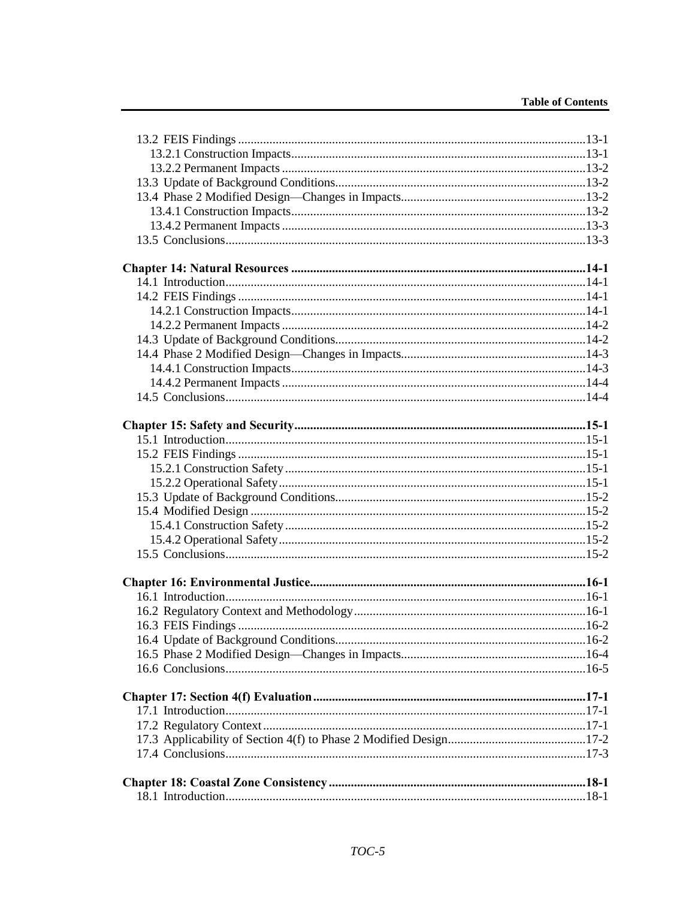#### **Table of Contents**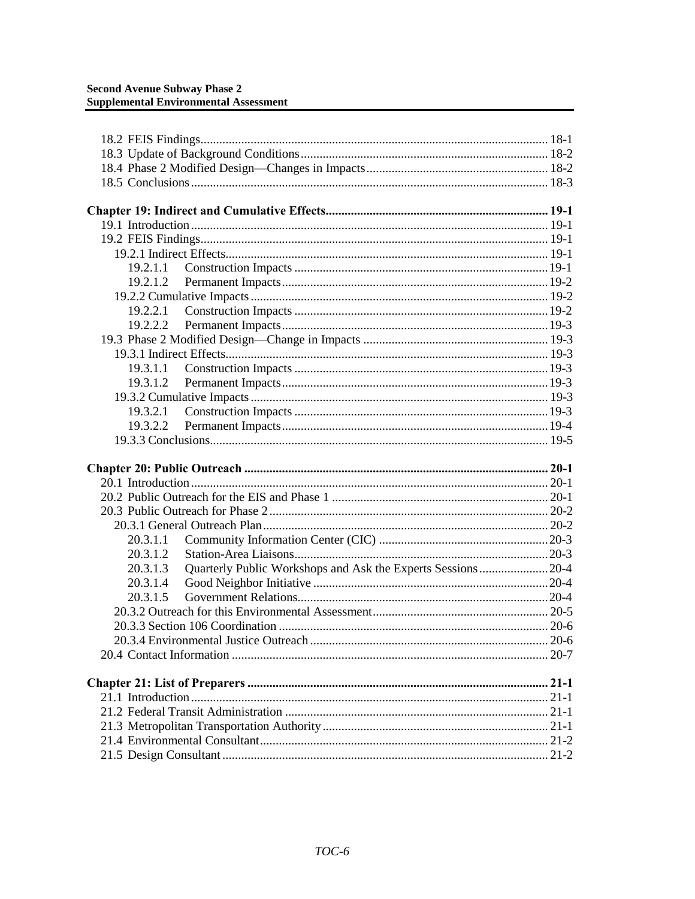| 19.2.2.1 |                                                             |  |
|----------|-------------------------------------------------------------|--|
|          |                                                             |  |
|          |                                                             |  |
|          |                                                             |  |
|          |                                                             |  |
|          |                                                             |  |
|          |                                                             |  |
|          |                                                             |  |
| 19.3.2.2 |                                                             |  |
|          |                                                             |  |
|          |                                                             |  |
|          |                                                             |  |
|          |                                                             |  |
|          |                                                             |  |
|          |                                                             |  |
|          |                                                             |  |
|          |                                                             |  |
| 20.3.1.1 |                                                             |  |
| 20.3.1.2 |                                                             |  |
| 20.3.1.3 | Quarterly Public Workshops and Ask the Experts Sessions20-4 |  |
| 20.3.1.4 |                                                             |  |
| 20.3.1.5 |                                                             |  |
|          |                                                             |  |
|          |                                                             |  |
|          |                                                             |  |
|          |                                                             |  |
|          |                                                             |  |
|          |                                                             |  |
|          |                                                             |  |
|          |                                                             |  |
|          |                                                             |  |
|          |                                                             |  |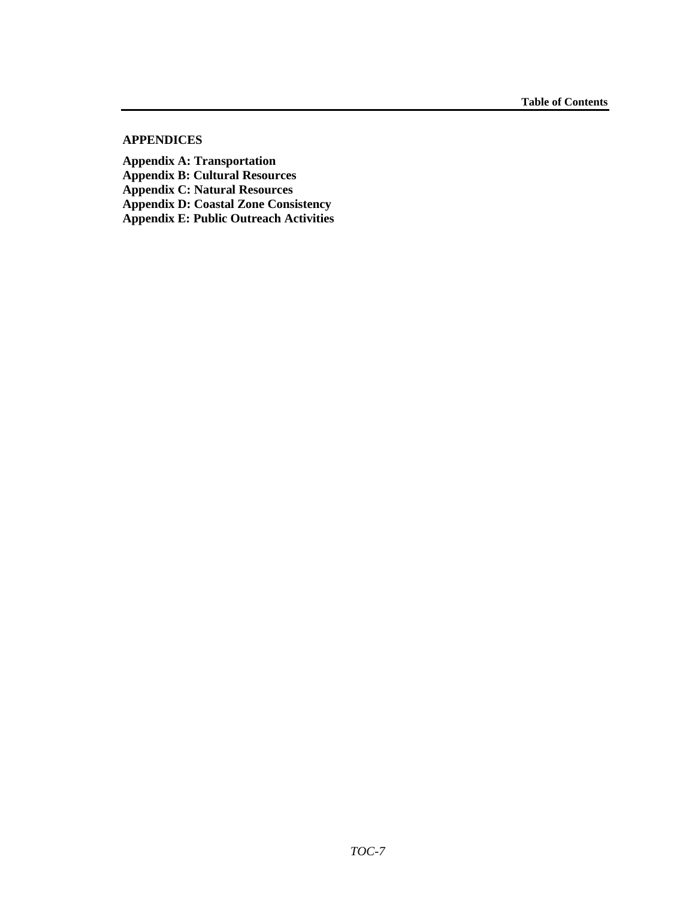#### **APPENDICES**

**Appendix A: Transportation Appendix B: Cultural Resources Appendix C: Natural Resources Appendix D: Coastal Zone Consistency Appendix E: Public Outreach Activities**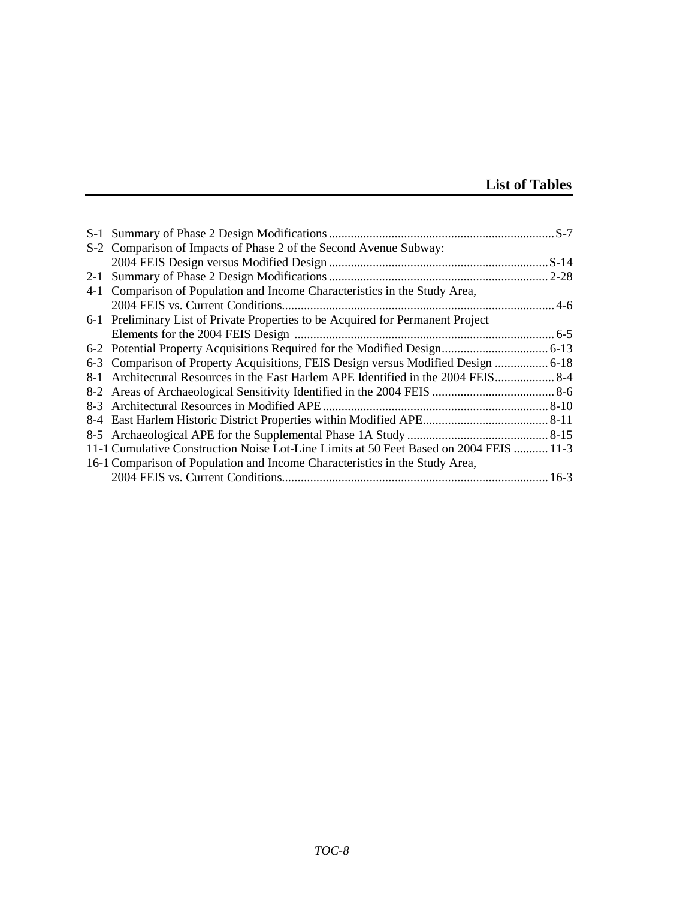## **List of Tables**

| S-2 Comparison of Impacts of Phase 2 of the Second Avenue Subway:                      |  |
|----------------------------------------------------------------------------------------|--|
|                                                                                        |  |
|                                                                                        |  |
| 4-1 Comparison of Population and Income Characteristics in the Study Area,             |  |
|                                                                                        |  |
| 6-1 Preliminary List of Private Properties to be Acquired for Permanent Project        |  |
|                                                                                        |  |
|                                                                                        |  |
| 6-3 Comparison of Property Acquisitions, FEIS Design versus Modified Design  6-18      |  |
|                                                                                        |  |
|                                                                                        |  |
|                                                                                        |  |
|                                                                                        |  |
|                                                                                        |  |
| 11-1 Cumulative Construction Noise Lot-Line Limits at 50 Feet Based on 2004 FEIS  11-3 |  |
| 16-1 Comparison of Population and Income Characteristics in the Study Area,            |  |
|                                                                                        |  |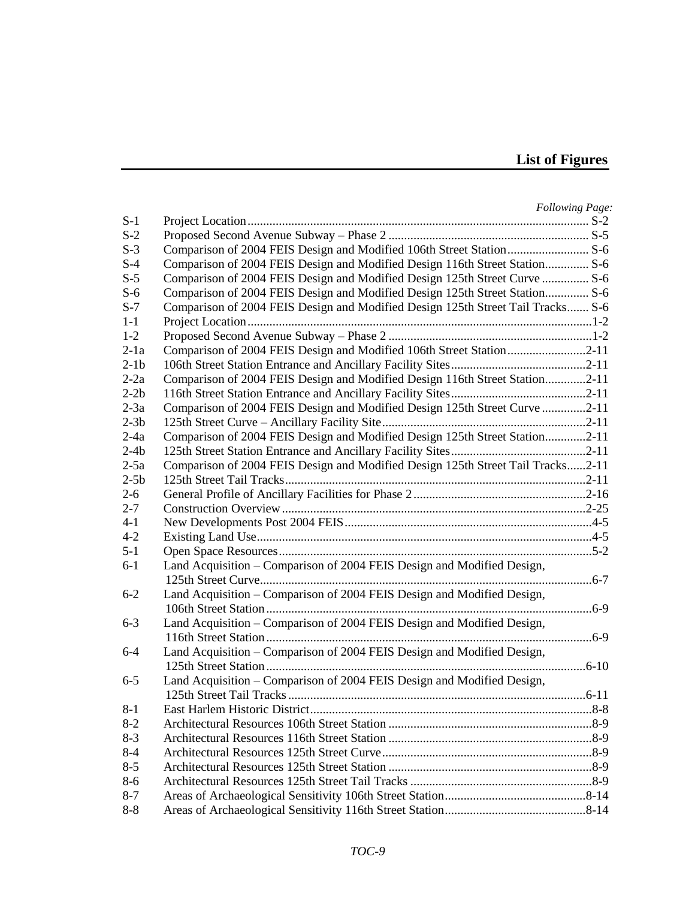## **List of Figures**

|         |                                                                                 | <b>Following Page:</b> |
|---------|---------------------------------------------------------------------------------|------------------------|
| $S-1$   |                                                                                 |                        |
| $S-2$   |                                                                                 |                        |
| $S-3$   | Comparison of 2004 FEIS Design and Modified 106th Street Station S-6            |                        |
| $S-4$   | Comparison of 2004 FEIS Design and Modified Design 116th Street Station S-6     |                        |
| $S-5$   | Comparison of 2004 FEIS Design and Modified Design 125th Street Curve  S-6      |                        |
| $S-6$   | Comparison of 2004 FEIS Design and Modified Design 125th Street Station S-6     |                        |
| $S-7$   | Comparison of 2004 FEIS Design and Modified Design 125th Street Tail Tracks S-6 |                        |
| $1-1$   |                                                                                 |                        |
| $1-2$   |                                                                                 |                        |
| $2-1a$  | Comparison of 2004 FEIS Design and Modified 106th Street Station2-11            |                        |
| $2-1b$  |                                                                                 |                        |
| $2-2a$  | Comparison of 2004 FEIS Design and Modified Design 116th Street Station2-11     |                        |
| $2-2b$  |                                                                                 |                        |
| $2-3a$  | Comparison of 2004 FEIS Design and Modified Design 125th Street Curve 2-11      |                        |
| $2-3b$  |                                                                                 |                        |
| $2-4a$  | Comparison of 2004 FEIS Design and Modified Design 125th Street Station2-11     |                        |
| $2-4b$  |                                                                                 |                        |
| $2-5a$  | Comparison of 2004 FEIS Design and Modified Design 125th Street Tail Tracks2-11 |                        |
| $2-5b$  |                                                                                 |                        |
| $2 - 6$ |                                                                                 |                        |
| $2 - 7$ |                                                                                 |                        |
| $4 - 1$ |                                                                                 |                        |
| $4 - 2$ |                                                                                 |                        |
| $5 - 1$ |                                                                                 |                        |
| $6-1$   | Land Acquisition – Comparison of 2004 FEIS Design and Modified Design,          |                        |
|         |                                                                                 |                        |
| $6 - 2$ | Land Acquisition - Comparison of 2004 FEIS Design and Modified Design,          |                        |
|         |                                                                                 |                        |
| $6 - 3$ | Land Acquisition - Comparison of 2004 FEIS Design and Modified Design,          |                        |
|         |                                                                                 |                        |
| $6 - 4$ | Land Acquisition - Comparison of 2004 FEIS Design and Modified Design,          |                        |
|         |                                                                                 |                        |
| $6 - 5$ | Land Acquisition - Comparison of 2004 FEIS Design and Modified Design,          |                        |
|         |                                                                                 |                        |
| 8-1     | East Harlem Historic District                                                   |                        |
| $8-2$   |                                                                                 |                        |
| $8-3$   |                                                                                 |                        |
| $8 - 4$ |                                                                                 |                        |
| $8 - 5$ |                                                                                 |                        |
| $8 - 6$ |                                                                                 |                        |
| $8 - 7$ |                                                                                 |                        |
| $8 - 8$ |                                                                                 |                        |